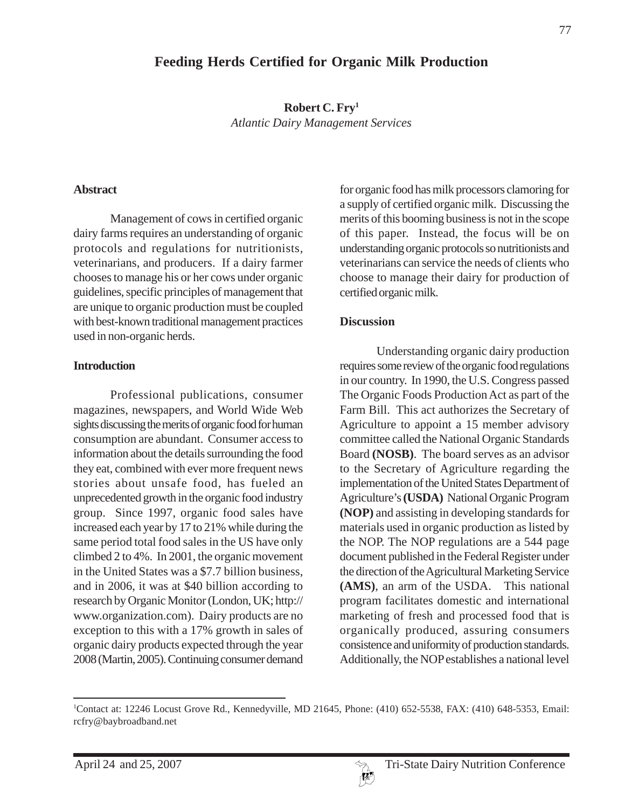# **Feeding Herds Certified for Organic Milk Production**

**Robert C. Fry1** *Atlantic Dairy Management Services*

#### **Abstract**

Management of cows in certified organic dairy farms requires an understanding of organic protocols and regulations for nutritionists, veterinarians, and producers. If a dairy farmer chooses to manage his or her cows under organic guidelines, specific principles of management that are unique to organic production must be coupled with best-known traditional management practices used in non-organic herds.

#### **Introduction**

Professional publications, consumer magazines, newspapers, and World Wide Web sights discussing the merits of organic food for human consumption are abundant. Consumer access to information about the details surrounding the food they eat, combined with ever more frequent news stories about unsafe food, has fueled an unprecedented growth in the organic food industry group. Since 1997, organic food sales have increased each year by 17 to 21% while during the same period total food sales in the US have only climbed 2 to 4%. In 2001, the organic movement in the United States was a \$7.7 billion business, and in 2006, it was at \$40 billion according to research by Organic Monitor (London, UK; http:// www.organization.com). Dairy products are no exception to this with a 17% growth in sales of organic dairy products expected through the year 2008 (Martin, 2005). Continuing consumer demand

for organic food has milk processors clamoring for a supply of certified organic milk. Discussing the merits of this booming business is not in the scope of this paper. Instead, the focus will be on understanding organic protocols so nutritionists and veterinarians can service the needs of clients who choose to manage their dairy for production of certified organic milk.

#### **Discussion**

Understanding organic dairy production requires some review of the organic food regulations in our country. In 1990, the U.S. Congress passed The Organic Foods Production Act as part of the Farm Bill. This act authorizes the Secretary of Agriculture to appoint a 15 member advisory committee called the National Organic Standards Board **(NOSB)**. The board serves as an advisor to the Secretary of Agriculture regarding the implementation of the United States Department of Agriculture's **(USDA)** National Organic Program **(NOP)** and assisting in developing standards for materials used in organic production as listed by the NOP. The NOP regulations are a 544 page document published in the Federal Register under the direction of the Agricultural Marketing Service **(AMS)**, an arm of the USDA. This national program facilitates domestic and international marketing of fresh and processed food that is organically produced, assuring consumers consistence and uniformity of production standards. Additionally, the NOP establishes a national level

<sup>1</sup> Contact at: 12246 Locust Grove Rd., Kennedyville, MD 21645, Phone: (410) 652-5538, FAX: (410) 648-5353, Email: rcfry@baybroadband.net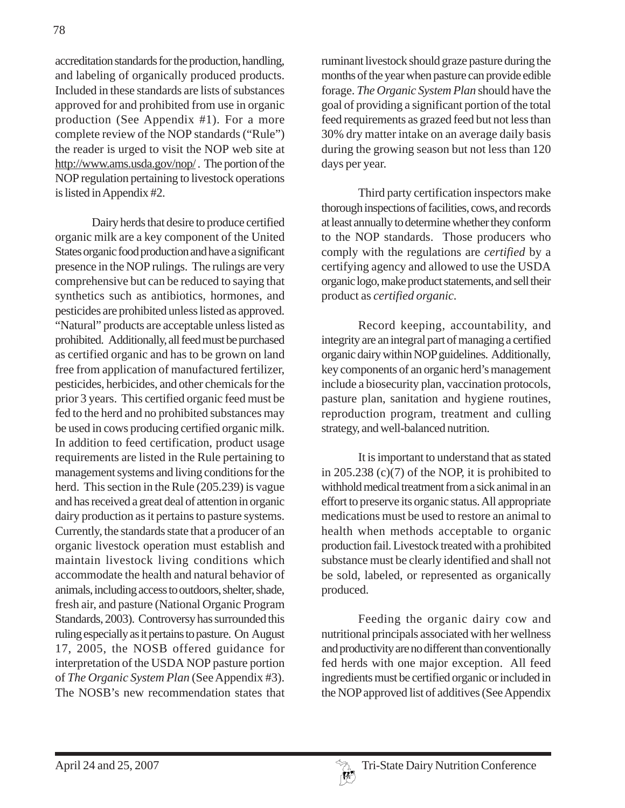accreditation standards for the production, handling, and labeling of organically produced products. Included in these standards are lists of substances approved for and prohibited from use in organic production (See Appendix #1). For a more complete review of the NOP standards ("Rule") the reader is urged to visit the NOP web site at http://www.ams.usda.gov/nop/ . The portion of the NOP regulation pertaining to livestock operations is listed in Appendix #2.

Dairy herds that desire to produce certified organic milk are a key component of the United States organic food production and have a significant presence in the NOP rulings. The rulings are very comprehensive but can be reduced to saying that synthetics such as antibiotics, hormones, and pesticides are prohibited unless listed as approved. "Natural" products are acceptable unless listed as prohibited. Additionally, all feed must be purchased as certified organic and has to be grown on land free from application of manufactured fertilizer, pesticides, herbicides, and other chemicals for the prior 3 years. This certified organic feed must be fed to the herd and no prohibited substances may be used in cows producing certified organic milk. In addition to feed certification, product usage requirements are listed in the Rule pertaining to management systems and living conditions for the herd. This section in the Rule (205.239) is vague and has received a great deal of attention in organic dairy production as it pertains to pasture systems. Currently, the standards state that a producer of an organic livestock operation must establish and maintain livestock living conditions which accommodate the health and natural behavior of animals, including access to outdoors, shelter, shade, fresh air, and pasture (National Organic Program Standards, 2003). Controversy has surrounded this ruling especially as it pertains to pasture. On August 17, 2005, the NOSB offered guidance for interpretation of the USDA NOP pasture portion of *The Organic System Plan* (See Appendix #3). The NOSB's new recommendation states that

ruminant livestock should graze pasture during the months of the year when pasture can provide edible forage. *The Organic System Plan* should have the goal of providing a significant portion of the total feed requirements as grazed feed but not less than 30% dry matter intake on an average daily basis during the growing season but not less than 120 days per year.

Third party certification inspectors make thorough inspections of facilities, cows, and records at least annually to determine whether they conform to the NOP standards. Those producers who comply with the regulations are *certified* by a certifying agency and allowed to use the USDA organic logo, make product statements, and sell their product as *certified organic.*

Record keeping, accountability, and integrity are an integral part of managing a certified organic dairy within NOP guidelines. Additionally, key components of an organic herd's management include a biosecurity plan, vaccination protocols, pasture plan, sanitation and hygiene routines, reproduction program, treatment and culling strategy, and well-balanced nutrition.

It is important to understand that as stated in 205.238 (c)(7) of the NOP, it is prohibited to withhold medical treatment from a sick animal in an effort to preserve its organic status. All appropriate medications must be used to restore an animal to health when methods acceptable to organic production fail. Livestock treated with a prohibited substance must be clearly identified and shall not be sold, labeled, or represented as organically produced.

Feeding the organic dairy cow and nutritional principals associated with her wellness and productivity are no different than conventionally fed herds with one major exception. All feed ingredients must be certified organic or included in the NOP approved list of additives (See Appendix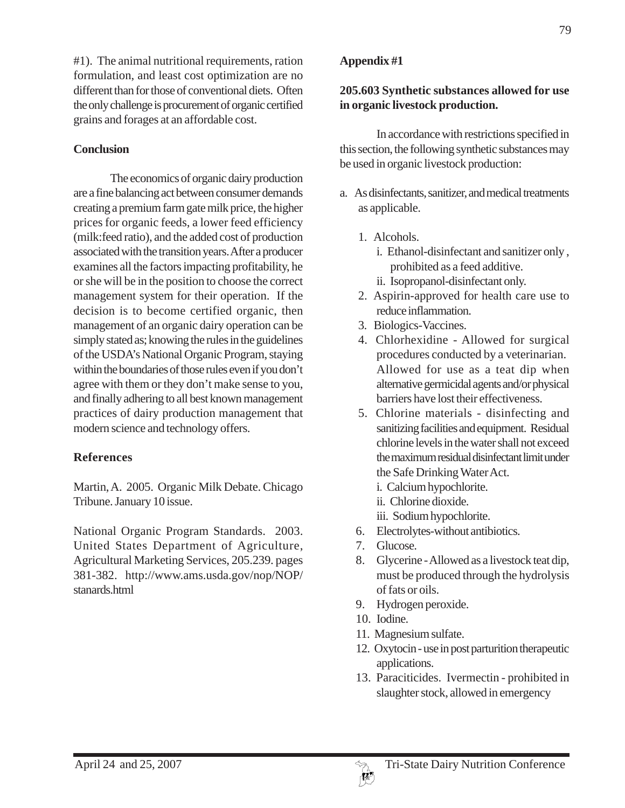#1). The animal nutritional requirements, ration formulation, and least cost optimization are no different than for those of conventional diets. Often the only challenge is procurement of organic certified grains and forages at an affordable cost.

## **Conclusion**

The economics of organic dairy production are a fine balancing act between consumer demands creating a premium farm gate milk price, the higher prices for organic feeds, a lower feed efficiency (milk:feed ratio), and the added cost of production associated with the transition years. After a producer examines all the factors impacting profitability, he or she will be in the position to choose the correct management system for their operation. If the decision is to become certified organic, then management of an organic dairy operation can be simply stated as; knowing the rules in the guidelines of the USDA's National Organic Program, staying within the boundaries of those rules even if you don't agree with them or they don't make sense to you, and finally adhering to all best known management practices of dairy production management that modern science and technology offers.

# **References**

Martin, A. 2005. Organic Milk Debate. Chicago Tribune. January 10 issue.

National Organic Program Standards. 2003. United States Department of Agriculture, Agricultural Marketing Services, 205.239. pages 381-382. http://www.ams.usda.gov/nop/NOP/ stanards.html

# **Appendix #1**

### **205.603 Synthetic substances allowed for use in organic livestock production.**

In accordance with restrictions specified in this section, the following synthetic substances may be used in organic livestock production:

- a. As disinfectants, sanitizer, and medical treatments as applicable.
	- 1. Alcohols.
		- i. Ethanol-disinfectant and sanitizer only , prohibited as a feed additive.
		- ii. Isopropanol-disinfectant only.
	- 2. Aspirin-approved for health care use to reduce inflammation.
	- 3. Biologics-Vaccines.
	- 4. Chlorhexidine Allowed for surgical procedures conducted by a veterinarian. Allowed for use as a teat dip when alternative germicidal agents and/or physical barriers have lost their effectiveness.
	- 5. Chlorine materials disinfecting and sanitizing facilities and equipment. Residual chlorine levels in the water shall not exceed the maximum residual disinfectant limit under the Safe Drinking Water Act.
		- i. Calcium hypochlorite.
		- ii. Chlorine dioxide.
		- iii. Sodium hypochlorite.
	- 6. Electrolytes-without antibiotics.
	- 7. Glucose.
	- 8. Glycerine Allowed as a livestock teat dip, must be produced through the hydrolysis of fats or oils.
	- 9. Hydrogen peroxide.
	- 10. Iodine.
	- 11. Magnesium sulfate.
	- 12. Oxytocin use in post parturition therapeutic applications.
	- 13. Paraciticides. Ivermectin prohibited in slaughter stock, allowed in emergency

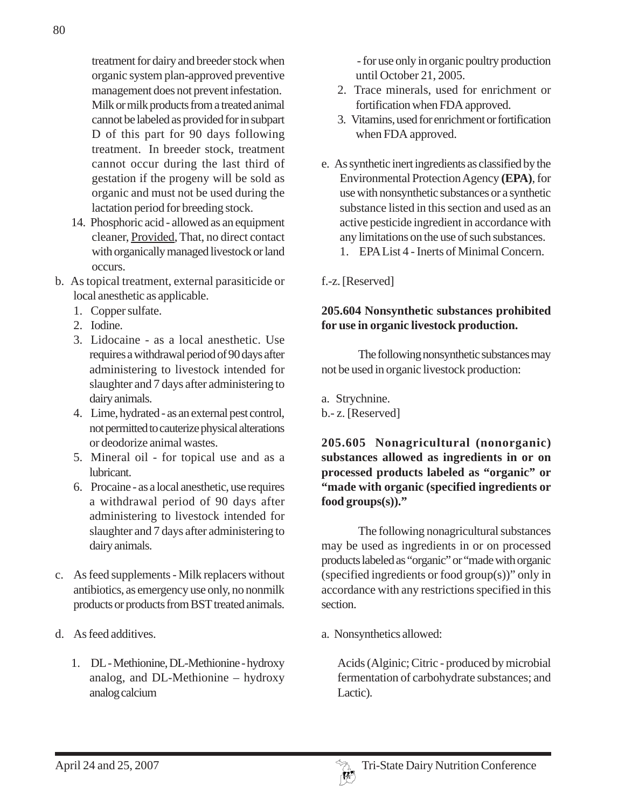treatment for dairy and breeder stock when organic system plan-approved preventive management does not prevent infestation. Milk or milk products from a treated animal cannot be labeled as provided for in subpart D of this part for 90 days following treatment. In breeder stock, treatment cannot occur during the last third of gestation if the progeny will be sold as organic and must not be used during the lactation period for breeding stock.

- 14. Phosphoric acid allowed as an equipment cleaner, Provided, That, no direct contact with organically managed livestock or land occurs.
- b. As topical treatment, external parasiticide or local anesthetic as applicable.
	- 1. Copper sulfate.
	- 2. Iodine.
	- 3. Lidocaine as a local anesthetic. Use requires a withdrawal period of 90 days after administering to livestock intended for slaughter and 7 days after administering to dairy animals.
	- 4. Lime, hydrated as an external pest control, not permitted to cauterize physical alterations or deodorize animal wastes.
	- 5. Mineral oil for topical use and as a lubricant.
	- 6. Procaine as a local anesthetic, use requires a withdrawal period of 90 days after administering to livestock intended for slaughter and 7 days after administering to dairy animals.
- c. As feed supplements Milk replacers without antibiotics, as emergency use only, no nonmilk products or products from BST treated animals.
- d. As feed additives.
	- 1. DL Methionine, DL-Methionine hydroxy analog, and DL-Methionine – hydroxy analog calcium

- for use only in organic poultry production until October 21, 2005.

- 2. Trace minerals, used for enrichment or fortification when FDA approved.
- 3. Vitamins, used for enrichment or fortification when FDA approved.
- e. As synthetic inert ingredients as classified by the Environmental Protection Agency **(EPA)**, for use with nonsynthetic substances or a synthetic substance listed in this section and used as an active pesticide ingredient in accordance with any limitations on the use of such substances.
	- 1. EPA List 4 Inerts of Minimal Concern.

f.-z. [Reserved]

### **205.604 Nonsynthetic substances prohibited for use in organic livestock production.**

The following nonsynthetic substances may not be used in organic livestock production:

a. Strychnine.

b.- z. [Reserved]

**205.605 Nonagricultural (nonorganic) substances allowed as ingredients in or on processed products labeled as "organic" or "made with organic (specified ingredients or food groups(s))."**

The following nonagricultural substances may be used as ingredients in or on processed products labeled as "organic" or "made with organic (specified ingredients or food group(s))" only in accordance with any restrictions specified in this section.

a. Nonsynthetics allowed:

Acids (Alginic; Citric - produced by microbial fermentation of carbohydrate substances; and Lactic).

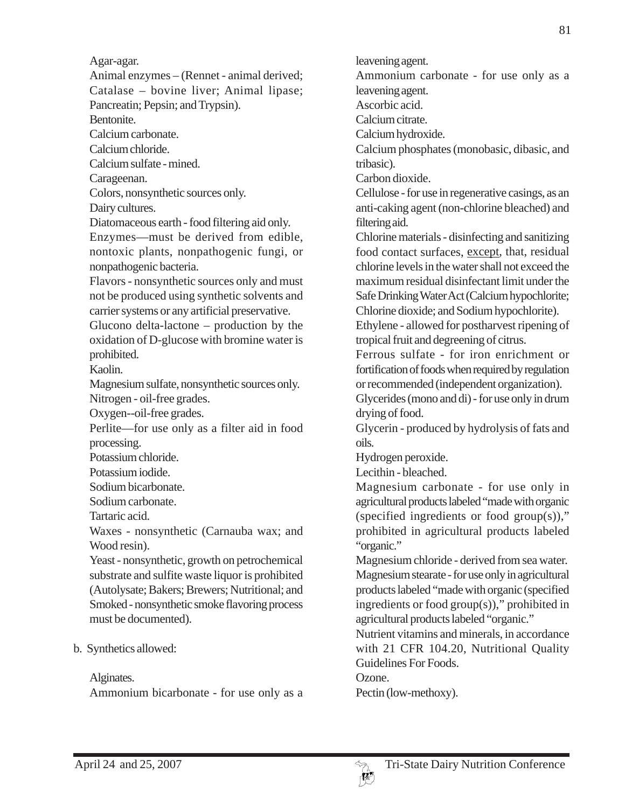Agar-agar.

Animal enzymes – (Rennet - animal derived; Catalase – bovine liver; Animal lipase; Pancreatin; Pepsin; and Trypsin).

Bentonite.

Calcium carbonate.

Calcium chloride.

Calcium sulfate - mined.

Carageenan.

Colors, nonsynthetic sources only.

Dairy cultures.

Diatomaceous earth - food filtering aid only.

Enzymes—must be derived from edible, nontoxic plants, nonpathogenic fungi, or nonpathogenic bacteria.

Flavors - nonsynthetic sources only and must not be produced using synthetic solvents and carrier systems or any artificial preservative.

Glucono delta-lactone – production by the oxidation of D-glucose with bromine water is prohibited.

Kaolin.

Magnesium sulfate, nonsynthetic sources only. Nitrogen - oil-free grades.

Oxygen--oil-free grades.

Perlite—for use only as a filter aid in food processing.

Potassium chloride.

Potassium iodide.

Sodium bicarbonate.

Sodium carbonate.

Tartaric acid.

Waxes - nonsynthetic (Carnauba wax; and Wood resin).

Yeast - nonsynthetic, growth on petrochemical substrate and sulfite waste liquor is prohibited (Autolysate; Bakers; Brewers; Nutritional; and Smoked - nonsynthetic smoke flavoring process must be documented).

### b. Synthetics allowed:

#### Alginates.

Ammonium bicarbonate - for use only as a

leavening agent.

Ammonium carbonate - for use only as a leavening agent.

Ascorbic acid.

Calcium citrate.

Calcium hydroxide.

Calcium phosphates (monobasic, dibasic, and tribasic).

Carbon dioxide.

Cellulose - for use in regenerative casings, as an anti-caking agent (non-chlorine bleached) and filtering aid.

Chlorine materials - disinfecting and sanitizing food contact surfaces, except, that, residual chlorine levels in the water shall not exceed the maximum residual disinfectant limit under the Safe Drinking Water Act (Calcium hypochlorite; Chlorine dioxide; and Sodium hypochlorite).

Ethylene - allowed for postharvest ripening of tropical fruit and degreening of citrus.

Ferrous sulfate - for iron enrichment or fortification of foods when required by regulation or recommended (independent organization).

Glycerides (mono and di) - for use only in drum drying of food.

Glycerin - produced by hydrolysis of fats and oils.

Hydrogen peroxide.

Lecithin - bleached.

Magnesium carbonate - for use only in agricultural products labeled "made with organic (specified ingredients or food group(s))," prohibited in agricultural products labeled "organic."

Magnesium chloride - derived from sea water. Magnesium stearate - for use only in agricultural products labeled "made with organic (specified ingredients or food group(s))," prohibited in agricultural products labeled "organic."

Nutrient vitamins and minerals, in accordance with 21 CFR 104.20, Nutritional Quality Guidelines For Foods.

Ozone.

Pectin (low-methoxy).

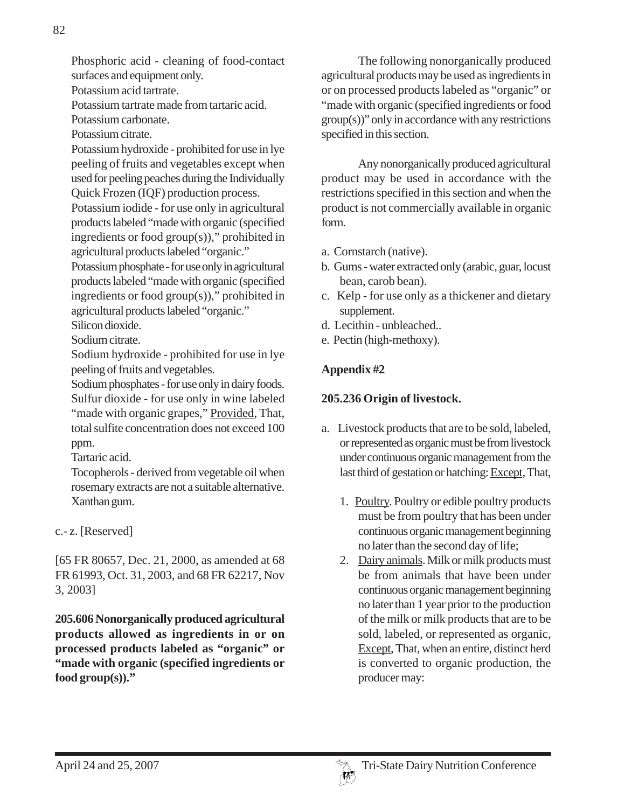Potassium acid tartrate.

Potassium tartrate made from tartaric acid.

Potassium carbonate.

Potassium citrate.

Potassium hydroxide - prohibited for use in lye peeling of fruits and vegetables except when used for peeling peaches during the Individually Quick Frozen (IQF) production process.

Potassium iodide - for use only in agricultural products labeled "made with organic (specified ingredients or food group(s))," prohibited in agricultural products labeled "organic."

Potassium phosphate - for use only in agricultural products labeled "made with organic (specified ingredients or food group(s))," prohibited in agricultural products labeled "organic."

Silicon dioxide.

Sodium citrate.

Sodium hydroxide - prohibited for use in lye peeling of fruits and vegetables.

Sodium phosphates - for use only in dairy foods. Sulfur dioxide - for use only in wine labeled "made with organic grapes," Provided, That, total sulfite concentration does not exceed 100 ppm.

Tartaric acid.

Tocopherols - derived from vegetable oil when rosemary extracts are not a suitable alternative. Xanthan gum.

c.- z. [Reserved]

[65 FR 80657, Dec. 21, 2000, as amended at 68 FR 61993, Oct. 31, 2003, and 68 FR 62217, Nov 3, 2003]

**205.606 Nonorganically produced agricultural products allowed as ingredients in or on processed products labeled as "organic" or "made with organic (specified ingredients or food group(s))."**

The following nonorganically produced agricultural products may be used as ingredients in or on processed products labeled as "organic" or "made with organic (specified ingredients or food group(s))" only in accordance with any restrictions specified in this section.

Any nonorganically produced agricultural product may be used in accordance with the restrictions specified in this section and when the product is not commercially available in organic form.

- a. Cornstarch (native).
- b. Gums water extracted only (arabic, guar, locust bean, carob bean).
- c. Kelp for use only as a thickener and dietary supplement.
- d. Lecithin unbleached..
- e. Pectin (high-methoxy).

# **Appendix #2**

# **205.236 Origin of livestock.**

- a. Livestock products that are to be sold, labeled, or represented as organic must be from livestock under continuous organic management from the last third of gestation or hatching: Except, That,
	- 1. Poultry. Poultry or edible poultry products must be from poultry that has been under continuous organic management beginning no later than the second day of life;
	- 2. Dairy animals. Milk or milk products must be from animals that have been under continuous organic management beginning no later than 1 year prior to the production of the milk or milk products that are to be sold, labeled, or represented as organic, Except, That, when an entire, distinct herd is converted to organic production, the producer may: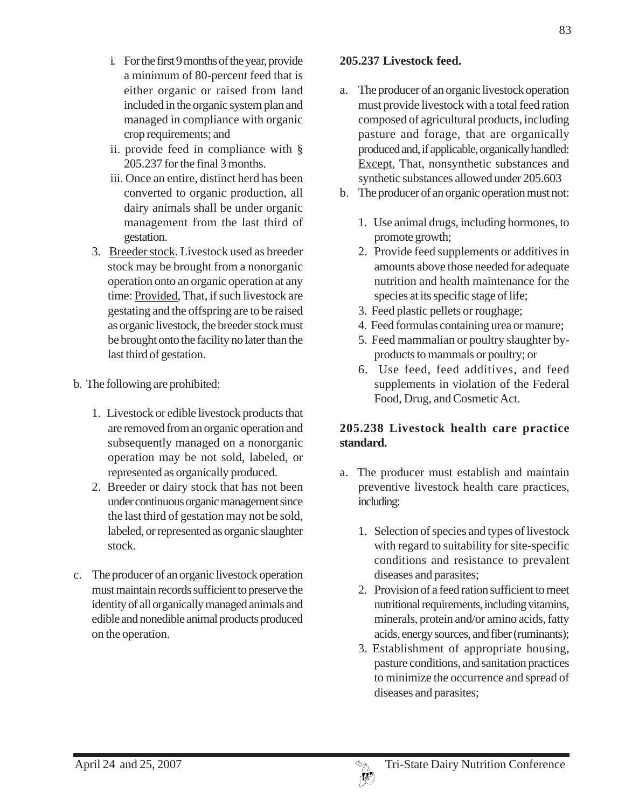- ii. provide feed in compliance with § 205.237 for the final 3 months.
- iii. Once an entire, distinct herd has been converted to organic production, all dairy animals shall be under organic management from the last third of gestation.
- 3. Breeder stock. Livestock used as breeder stock may be brought from a nonorganic operation onto an organic operation at any time: Provided, That, if such livestock are gestating and the offspring are to be raised as organic livestock, the breeder stock must be brought onto the facility no later than the last third of gestation.
- b. The following are prohibited:
	- 1. Livestock or edible livestock products that are removed from an organic operation and subsequently managed on a nonorganic operation may be not sold, labeled, or represented as organically produced.
	- 2. Breeder or dairy stock that has not been under continuous organic management since the last third of gestation may not be sold, labeled, or represented as organic slaughter stock.
- c. The producer of an organic livestock operation must maintain records sufficient to preserve the identity of all organically managed animals and edible and nonedible animal products produced on the operation.

# **205.237 Livestock feed.**

- a. The producer of an organic livestock operation must provide livestock with a total feed ration composed of agricultural products, including pasture and forage, that are organically produced and, if applicable, organically handled: Except, That, nonsynthetic substances and synthetic substances allowed under 205.603
- b. The producer of an organic operation must not:
	- 1. Use animal drugs, including hormones, to promote growth;
	- 2. Provide feed supplements or additives in amounts above those needed for adequate nutrition and health maintenance for the species at its specific stage of life;
	- 3. Feed plastic pellets or roughage;
	- 4. Feed formulas containing urea or manure;
	- 5. Feed mammalian or poultry slaughter byproducts to mammals or poultry; or
	- 6. Use feed, feed additives, and feed supplements in violation of the Federal Food, Drug, and Cosmetic Act.

# **205.238 Livestock health care practice standard.**

- a. The producer must establish and maintain preventive livestock health care practices, including:
	- 1. Selection of species and types of livestock with regard to suitability for site-specific conditions and resistance to prevalent diseases and parasites;
	- 2. Provision of a feed ration sufficient to meet nutritional requirements, including vitamins, minerals, protein and/or amino acids, fatty acids, energy sources, and fiber (ruminants);
	- 3. Establishment of appropriate housing, pasture conditions, and sanitation practices to minimize the occurrence and spread of diseases and parasites;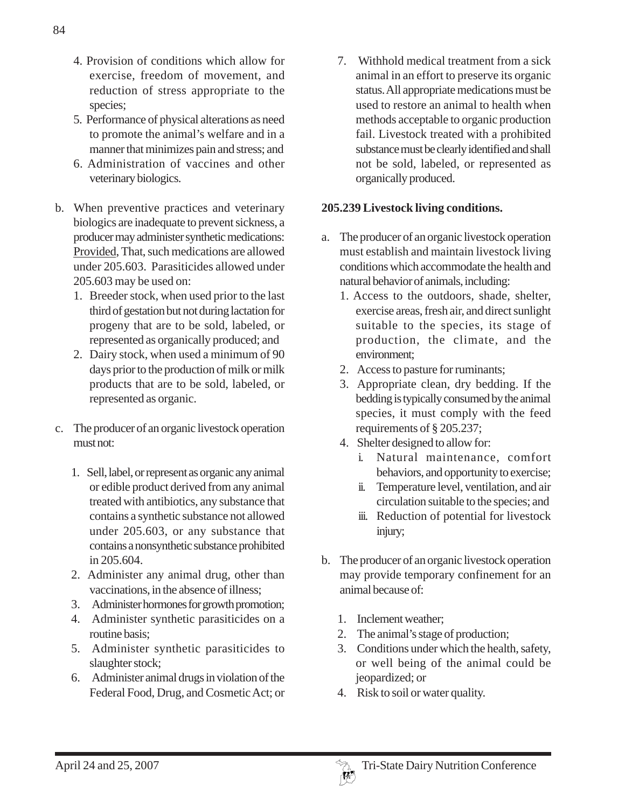- 4. Provision of conditions which allow for exercise, freedom of movement, and reduction of stress appropriate to the species;
- 5. Performance of physical alterations as need to promote the animal's welfare and in a manner that minimizes pain and stress; and
- 6. Administration of vaccines and other veterinary biologics.
- b. When preventive practices and veterinary biologics are inadequate to prevent sickness, a producer may administer synthetic medications: Provided, That, such medications are allowed under 205.603. Parasiticides allowed under 205.603 may be used on:
	- 1. Breeder stock, when used prior to the last third of gestation but not during lactation for progeny that are to be sold, labeled, or represented as organically produced; and
	- 2. Dairy stock, when used a minimum of 90 days prior to the production of milk or milk products that are to be sold, labeled, or represented as organic.
- c. The producer of an organic livestock operation must not:
	- 1. Sell, label, or represent as organic any animal or edible product derived from any animal treated with antibiotics, any substance that contains a synthetic substance not allowed under 205.603, or any substance that contains a nonsynthetic substance prohibited in 205.604.
	- 2. Administer any animal drug, other than vaccinations, in the absence of illness;
	- 3. Administer hormones for growth promotion;
	- 4. Administer synthetic parasiticides on a routine basis;
	- 5. Administer synthetic parasiticides to slaughter stock;
	- 6. Administer animal drugs in violation of the Federal Food, Drug, and Cosmetic Act; or

7. Withhold medical treatment from a sick animal in an effort to preserve its organic status. All appropriate medications must be used to restore an animal to health when methods acceptable to organic production fail. Livestock treated with a prohibited substance must be clearly identified and shall not be sold, labeled, or represented as organically produced.

### **205.239 Livestock living conditions.**

- a. The producer of an organic livestock operation must establish and maintain livestock living conditions which accommodate the health and natural behavior of animals, including:
	- 1. Access to the outdoors, shade, shelter, exercise areas, fresh air, and direct sunlight suitable to the species, its stage of production, the climate, and the environment;
	- 2. Access to pasture for ruminants;
	- 3. Appropriate clean, dry bedding. If the bedding is typically consumed by the animal species, it must comply with the feed requirements of § 205.237;
	- 4. Shelter designed to allow for:
		- i. Natural maintenance, comfort behaviors, and opportunity to exercise;
		- ii. Temperature level, ventilation, and air circulation suitable to the species; and
		- iii. Reduction of potential for livestock injury;
- b. The producer of an organic livestock operation may provide temporary confinement for an animal because of:
	- 1. Inclement weather;
	- 2. The animal's stage of production;
	- 3. Conditions under which the health, safety, or well being of the animal could be jeopardized; or
	- 4. Risk to soil or water quality.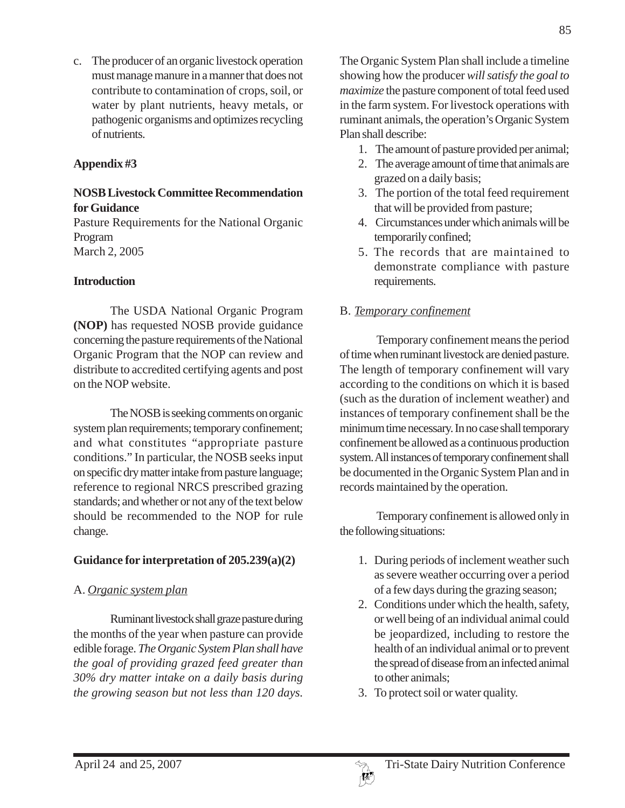c. The producer of an organic livestock operation must manage manure in a manner that does not contribute to contamination of crops, soil, or water by plant nutrients, heavy metals, or pathogenic organisms and optimizes recycling of nutrients.

### **Appendix #3**

### **NOSB Livestock Committee Recommendation for Guidance**

Pasture Requirements for the National Organic Program March 2, 2005

### **Introduction**

The USDA National Organic Program **(NOP)** has requested NOSB provide guidance concerning the pasture requirements of the National Organic Program that the NOP can review and distribute to accredited certifying agents and post on the NOP website.

The NOSB is seeking comments on organic system plan requirements; temporary confinement; and what constitutes "appropriate pasture conditions." In particular, the NOSB seeks input on specific dry matter intake from pasture language; reference to regional NRCS prescribed grazing standards; and whether or not any of the text below should be recommended to the NOP for rule change.

### **Guidance for interpretation of 205.239(a)(2)**

# A. *Organic system plan*

Ruminant livestock shall graze pasture during the months of the year when pasture can provide edible forage. *The Organic System Plan shall have the goal of providing grazed feed greater than 30% dry matter intake on a daily basis during the growing season but not less than 120 days.*

The Organic System Plan shall include a timeline showing how the producer *will satisfy the goal to maximize* the pasture component of total feed used in the farm system. For livestock operations with ruminant animals, the operation's Organic System Plan shall describe:

- 1. The amount of pasture provided per animal;
- 2. The average amount of time that animals are grazed on a daily basis;
- 3. The portion of the total feed requirement that will be provided from pasture;
- 4. Circumstances under which animals will be temporarily confined;
- 5. The records that are maintained to demonstrate compliance with pasture requirements.

# B. *Temporary confinement*

Temporary confinement means the period of time when ruminant livestock are denied pasture. The length of temporary confinement will vary according to the conditions on which it is based (such as the duration of inclement weather) and instances of temporary confinement shall be the minimum time necessary. In no case shall temporary confinement be allowed as a continuous production system. All instances of temporary confinement shall be documented in the Organic System Plan and in records maintained by the operation.

Temporary confinement is allowed only in the following situations:

- 1. During periods of inclement weather such as severe weather occurring over a period of a few days during the grazing season;
- 2. Conditions under which the health, safety, or well being of an individual animal could be jeopardized, including to restore the health of an individual animal or to prevent the spread of disease from an infected animal to other animals;
- 3. To protect soil or water quality.